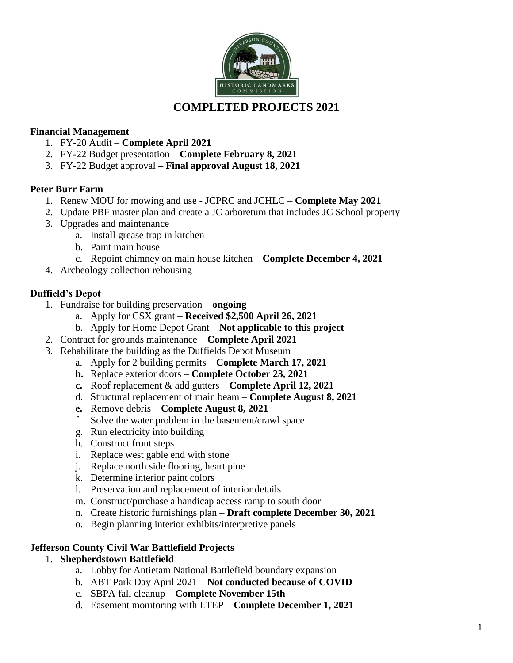

# **COMPLETED PROJECTS 2021**

## **Financial Management**

- 1. FY-20 Audit **Complete April 2021**
- 2. FY-22 Budget presentation **Complete February 8, 2021**
- 3. FY-22 Budget approval **– Final approval August 18, 2021**

# **Peter Burr Farm**

- 1. Renew MOU for mowing and use JCPRC and JCHLC **Complete May 2021**
- 2. Update PBF master plan and create a JC arboretum that includes JC School property
- 3. Upgrades and maintenance
	- a. Install grease trap in kitchen
	- b. Paint main house
	- c. Repoint chimney on main house kitchen **Complete December 4, 2021**
- 4. Archeology collection rehousing

# **Duffield's Depot**

- 1. Fundraise for building preservation **ongoing**
	- a. Apply for CSX grant **Received \$2,500 April 26, 2021**
	- b. Apply for Home Depot Grant **Not applicable to this project**
- 2. Contract for grounds maintenance **Complete April 2021**
- 3. Rehabilitate the building as the Duffields Depot Museum
	- a. Apply for 2 building permits **Complete March 17, 2021**
	- **b.** Replace exterior doors **Complete October 23, 2021**
	- **c.** Roof replacement & add gutters **Complete April 12, 2021**
	- d. Structural replacement of main beam **Complete August 8, 2021**
	- **e.** Remove debris **Complete August 8, 2021**
	- f. Solve the water problem in the basement/crawl space
	- g. Run electricity into building
	- h. Construct front steps
	- i. Replace west gable end with stone
	- j. Replace north side flooring, heart pine
	- k. Determine interior paint colors
	- l. Preservation and replacement of interior details
	- m. Construct/purchase a handicap access ramp to south door
	- n. Create historic furnishings plan **Draft complete December 30, 2021**
	- o. Begin planning interior exhibits/interpretive panels

### **Jefferson County Civil War Battlefield Projects**

### 1. **Shepherdstown Battlefield**

- a. Lobby for Antietam National Battlefield boundary expansion
- b. ABT Park Day April 2021 **Not conducted because of COVID**
- c. SBPA fall cleanup **Complete November 15th**
- d. Easement monitoring with LTEP **Complete December 1, 2021**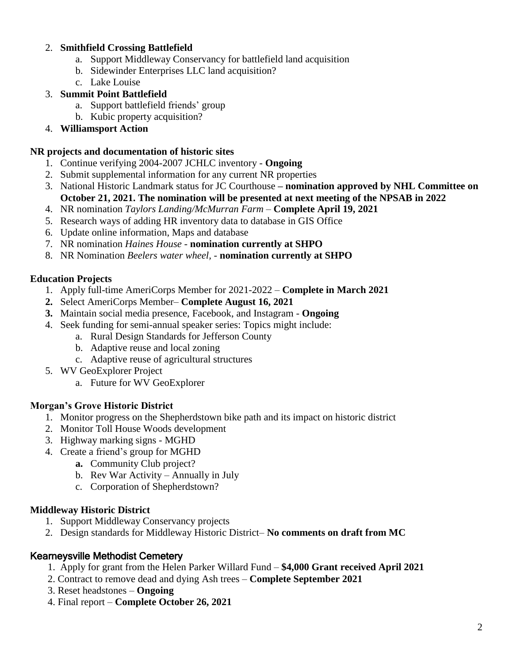## 2. **Smithfield Crossing Battlefield**

- a. Support Middleway Conservancy for battlefield land acquisition
- b. Sidewinder Enterprises LLC land acquisition?
- c. Lake Louise
- 3. **Summit Point Battlefield**
	- a. Support battlefield friends' group
	- b. Kubic property acquisition?
- 4. **Williamsport Action**

#### **NR projects and documentation of historic sites**

- 1. Continue verifying 2004-2007 JCHLC inventory **Ongoing**
- 2. Submit supplemental information for any current NR properties
- 3. National Historic Landmark status for JC Courthouse **– nomination approved by NHL Committee on October 21, 2021. The nomination will be presented at next meeting of the NPSAB in 2022**
- 4. NR nomination *Taylors Landing/McMurran Farm –* **Complete April 19, 2021**
- 5. Research ways of adding HR inventory data to database in GIS Office
- 6. Update online information, Maps and database
- 7. NR nomination *Haines House* **nomination currently at SHPO**
- 8. NR Nomination *Beelers water wheel, -* **nomination currently at SHPO**

# **Education Projects**

- 1. Apply full-time AmeriCorps Member for 2021-2022 **Complete in March 2021**
- **2.** Select AmeriCorps Member– **Complete August 16, 2021**
- **3.** Maintain social media presence, Facebook, and Instagram **Ongoing**
- 4. Seek funding for semi-annual speaker series: Topics might include:
	- a. Rural Design Standards for Jefferson County
	- b. Adaptive reuse and local zoning
	- c. Adaptive reuse of agricultural structures
- 5. WV GeoExplorer Project
	- a. Future for WV GeoExplorer

# **Morgan's Grove Historic District**

- 1. Monitor progress on the Shepherdstown bike path and its impact on historic district
- 2. Monitor Toll House Woods development
- 3. Highway marking signs MGHD
- 4. Create a friend's group for MGHD
	- **a.** Community Club project?
	- b. Rev War Activity Annually in July
	- c. Corporation of Shepherdstown?

# **Middleway Historic District**

- 1. Support Middleway Conservancy projects
- 2. Design standards for Middleway Historic District– **No comments on draft from MC**

# Kearneysville Methodist Cemetery

- 1. Apply for grant from the Helen Parker Willard Fund **\$4,000 Grant received April 2021**
- 2. Contract to remove dead and dying Ash trees **Complete September 2021**
- 3. Reset headstones **Ongoing**
- 4. Final report **Complete October 26, 2021**